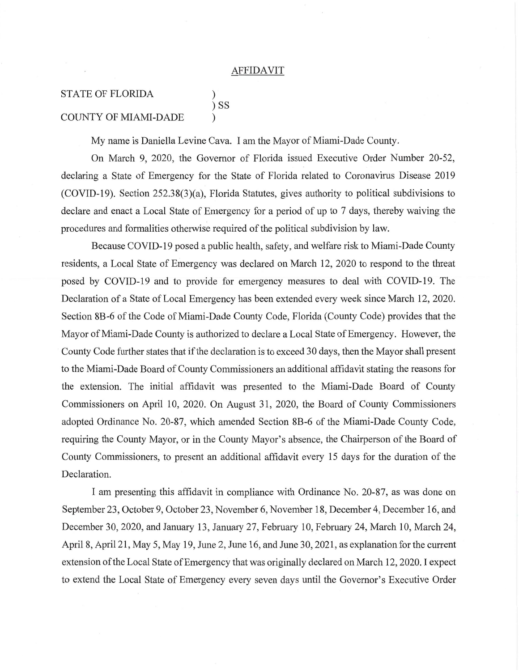## **AFFIDAVIT**

## **STATE OF FLORIDA COUNTY OF MIAMI-DADE**

My name is Daniella Levine Cava. I am the Mayor of Miami-Dade County.

 $)$  SS

On March 9, 2020, the Governor of Florida issued Executive Order Number 20-52, declaring a State of Emergency for the State of Florida related to Coronavirus Disease 2019 (COVID-19). Section 252.38(3)(a), Florida Statutes, gives authority to political subdivisions to declare and enact a Local State of Emergency for a period of up to 7 days, thereby waiving the procedures and formalities otherwise required of the political subdivision by law.

Because COVID-19 posed a public health, safety, and welfare risk to Miami-Dade County residents, a Local State of Emergency was declared on March 12, 2020 to respond to the threat posed by COVID-19 and to provide for emergency measures to deal with COVID-19. The Declaration of a State of Local Emergency has been extended every week since March 12, 2020. Section 8B-6 of the Code of Miami-Dade County Code, Florida (County Code) provides that the Mayor of Miami-Dade County is authorized to declare a Local State of Emergency. However, the County Code further states that if the declaration is to exceed 30 days, then the Mayor shall present to the Miami-Dade Board of County Commissioners an additional affidavit stating the reasons for the extension. The initial affidavit was presented to the Miami-Dade Board of County Commissioners on April 10, 2020. On August 31, 2020, the Board of County Commissioners adopted Ordinance No. 20-87, which amended Section 8B-6 of the Miami-Dade County Code, requiring the County Mayor, or in the County Mayor's absence, the Chairperson of the Board of County Commissioners, to present an additional affidavit every 15 days for the duration of the Declaration.

I am presenting this affidavit in compliance with Ordinance No. 20-87, as was done on September 23, October 9, October 23, November 6, November 18, December 4, December 16, and December 30, 2020, and January 13, January 27, February 10, February 24, March 10, March 24, April 8, April 21, May 5, May 19, June 2, June 16, and June 30, 2021, as explanation for the current extension of the Local State of Emergency that was originally declared on March 12, 2020. I expect to extend the Local State of Emergency every seven days until the Governor's Executive Order